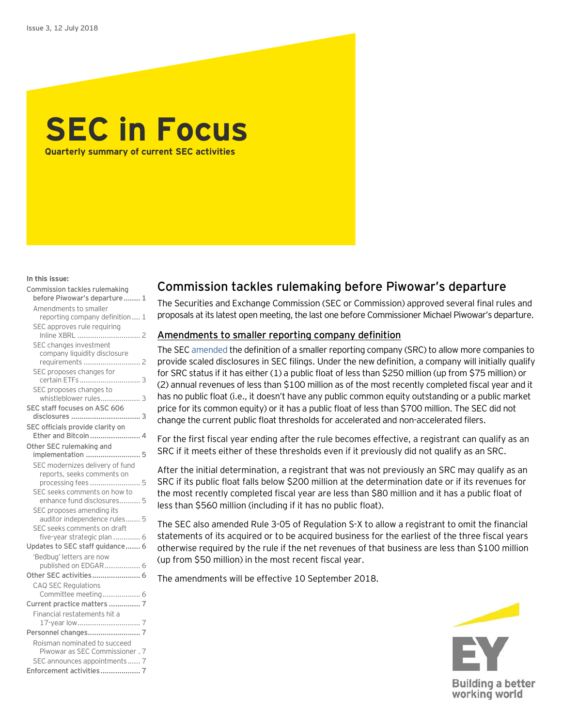

#### **In this issue:**

| Commission tackles rulemaking                           |
|---------------------------------------------------------|
| before Piwowar's departure 1                            |
| Amendments to smaller                                   |
| reporting company definition 1                          |
| SEC approves rule requiring                             |
| SEC changes investment                                  |
| company liquidity disclosure                            |
| requirements  2                                         |
| SEC proposes changes for                                |
|                                                         |
| SEC proposes changes to                                 |
| whistleblower rules 3                                   |
| SEC staff focuses on ASC 606                            |
|                                                         |
| SEC officials provide clarity on<br>Ether and Bitcoin 4 |
|                                                         |
| Other SEC rulemaking and<br>implementation  5           |
| SEC modernizes delivery of fund                         |
| reports, seeks comments on                              |
| processing fees  5                                      |
| SEC seeks comments on how to                            |
| enhance fund disclosures 5                              |
| SEC proposes amending its                               |
| auditor independence rules 5                            |
| SEC seeks comments on draft                             |
| five-year strategic plan  6                             |
| Updates to SEC staff guidance 6                         |
| 'Bedbug' letters are now                                |
| published on EDGAR  6                                   |
|                                                         |
| <b>CAQ SEC Regulations</b>                              |
| Committee meeting 6<br>Current practice matters  7      |
| Financial restatements hit a                            |
|                                                         |
|                                                         |
| Roisman nominated to succeed                            |
| Piwowar as SEC Commissioner . 7                         |
| SEC announces appointments 7                            |
|                                                         |

## <span id="page-0-0"></span>Commission tackles rulemaking before Piwowar's departure

The Securities and Exchange Commission (SEC or Commission) approved several final rules and proposals at its latest open meeting, the last one before Commissioner Michael Piwowar's departure.

#### <span id="page-0-1"></span>Amendments to smaller reporting company definition

The SEC [amended](https://www.sec.gov/rules/final/2018/33-10513.pdf) the definition of a smaller reporting company (SRC) to allow more companies to provide scaled disclosures in SEC filings. Under the new definition, a company will initially qualify for SRC status if it has either (1) a public float of less than \$250 million (up from \$75 million) or (2) annual revenues of less than \$100 million as of the most recently completed fiscal year and it has no public float (i.e., it doesn't have any public common equity outstanding or a public market price for its common equity) or it has a public float of less than \$700 million. The SEC did not change the current public float thresholds for accelerated and non-accelerated filers.

For the first fiscal year ending after the rule becomes effective, a registrant can qualify as an SRC if it meets either of these thresholds even if it previously did not qualify as an SRC.

After the initial determination, a registrant that was not previously an SRC may qualify as an SRC if its public float falls below \$200 million at the determination date or if its revenues for the most recently completed fiscal year are less than \$80 million and it has a public float of less than \$560 million (including if it has no public float).

The SEC also amended Rule 3-05 of Regulation S-X to allow a registrant to omit the financial statements of its acquired or to be acquired business for the earliest of the three fiscal years otherwise required by the rule if the net revenues of that business are less than \$100 million (up from \$50 million) in the most recent fiscal year.

The amendments will be effective 10 September 2018.

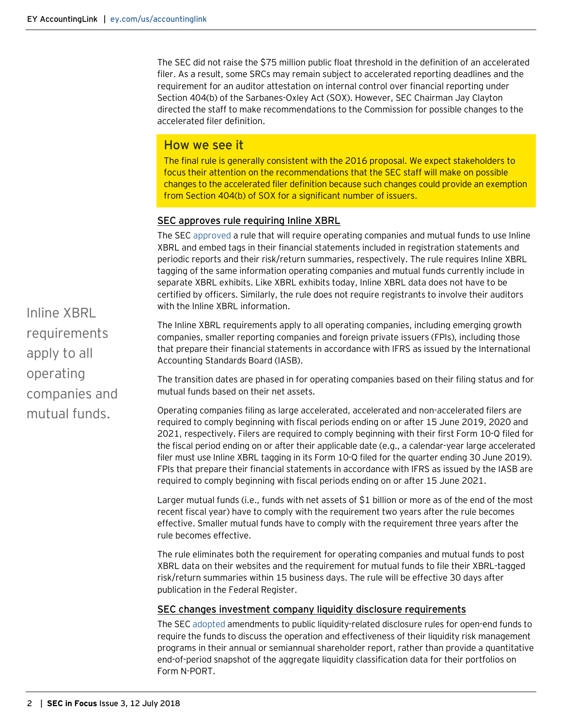The SEC did not raise the \$75 million public float threshold in the definition of an accelerated filer. As a result, some SRCs may remain subject to accelerated reporting deadlines and the requirement for an auditor attestation on internal control over financial reporting under Section 404(b) of the Sarbanes-Oxley Act (SOX). However, SEC Chairman Jay Clayton directed the staff to make recommendations to the Commission for possible changes to the accelerated filer definition.

#### How we see it

The final rule is generally consistent with the 2016 proposal. We expect stakeholders to focus their attention on the recommendations that the SEC staff will make on possible changes to the accelerated filer definition because such changes could provide an exemption from Section 404(b) of SOX for a significant number of issuers.

#### <span id="page-1-0"></span>SEC approves rule requiring Inline XBRL

The SE[C approved](https://www.sec.gov/rules/final/2018/33-10514.pdf) a rule that will require operating companies and mutual funds to use Inline XBRL and embed tags in their financial statements included in registration statements and periodic reports and their risk/return summaries, respectively. The rule requires Inline XBRL tagging of the same information operating companies and mutual funds currently include in separate XBRL exhibits. Like XBRL exhibits today, Inline XBRL data does not have to be certified by officers. Similarly, the rule does not require registrants to involve their auditors with the Inline XBRL information

The Inline XBRL requirements apply to all operating companies, including emerging growth companies, smaller reporting companies and foreign private issuers (FPIs), including those that prepare their financial statements in accordance with IFRS as issued by the International Accounting Standards Board (IASB).

The transition dates are phased in for operating companies based on their filing status and for mutual funds based on their net assets.

Operating companies filing as large accelerated, accelerated and non-accelerated filers are required to comply beginning with fiscal periods ending on or after 15 June 2019, 2020 and 2021, respectively. Filers are required to comply beginning with their first Form 10-Q filed for the fiscal period ending on or after their applicable date (e.g., a calendar-year large accelerated filer must use Inline XBRL tagging in its Form 10-Q filed for the quarter ending 30 June 2019). FPIs that prepare their financial statements in accordance with IFRS as issued by the IASB are required to comply beginning with fiscal periods ending on or after 15 June 2021.

Larger mutual funds (i.e., funds with net assets of \$1 billion or more as of the end of the most recent fiscal year) have to comply with the requirement two years after the rule becomes effective. Smaller mutual funds have to comply with the requirement three years after the rule becomes effective.

The rule eliminates both the requirement for operating companies and mutual funds to post XBRL data on their websites and the requirement for mutual funds to file their XBRL-tagged risk/return summaries within 15 business days. The rule will be effective 30 days after publication in the Federal Register.

#### <span id="page-1-1"></span>SEC changes investment company liquidity disclosure requirements

The SEC [adopted](https://www.sec.gov/rules/final/2018/ic-33142.pdf) amendments to public liquidity-related disclosure rules for open-end funds to require the funds to discuss the operation and effectiveness of their liquidity risk management programs in their annual or semiannual shareholder report, rather than provide a quantitative end-of-period snapshot of the aggregate liquidity classification data for their portfolios on Form N-PORT.

Inline XBRL requirements apply to all operating companies and mutual funds.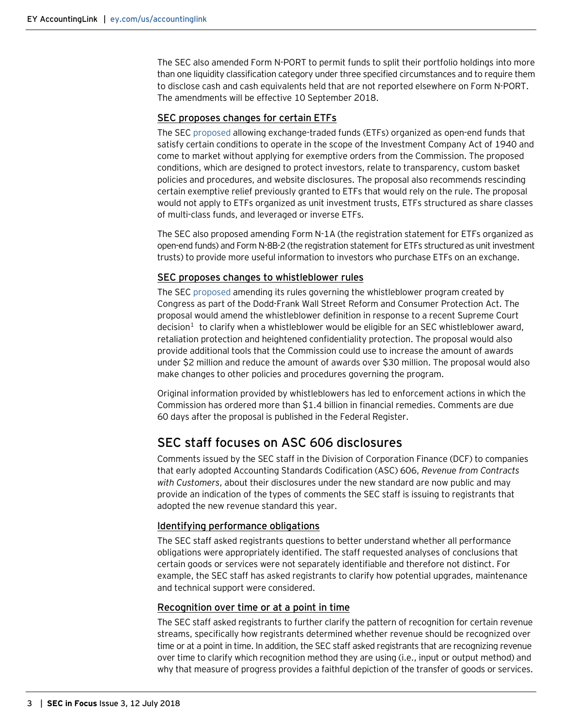The SEC also amended Form N-PORT to permit funds to split their portfolio holdings into more than one liquidity classification category under three specified circumstances and to require them to disclose cash and cash equivalents held that are not reported elsewhere on Form N-PORT. The amendments will be effective 10 September 2018.

#### <span id="page-2-0"></span>SEC proposes changes for certain ETFs

The SE[C proposed](https://www.sec.gov/rules/proposed/2018/33-10515.pdf) allowing exchange-traded funds (ETFs) organized as open-end funds that satisfy certain conditions to operate in the scope of the Investment Company Act of 1940 and come to market without applying for exemptive orders from the Commission. The proposed conditions, which are designed to protect investors, relate to transparency, custom basket policies and procedures, and website disclosures. The proposal also recommends rescinding certain exemptive relief previously granted to ETFs that would rely on the rule. The proposal would not apply to ETFs organized as unit investment trusts, ETFs structured as share classes of multi-class funds, and leveraged or inverse ETFs.

The SEC also proposed amending Form N-1A (the registration statement for ETFs organized as open-end funds) and Form N-8B-2 (the registration statement for ETFs structured as unit investment trusts) to provide more useful information to investors who purchase ETFs on an exchange.

#### <span id="page-2-1"></span>SEC proposes changes to whistleblower rules

The SE[C proposed](https://www.sec.gov/rules/proposed/2018/34-83557.pdf) amending its rules governing the whistleblower program created by Congress as part of the Dodd-Frank Wall Street Reform and Consumer Protection Act. The proposal would amend the whistleblower definition in response to a recent Supreme Court decision<sup>[1](#page-7-0)</sup> to clarify when a whistleblower would be eligible for an SEC whistleblower award, retaliation protection and heightened confidentiality protection. The proposal would also provide additional tools that the Commission could use to increase the amount of awards under \$2 million and reduce the amount of awards over \$30 million. The proposal would also make changes to other policies and procedures governing the program.

Original information provided by whistleblowers has led to enforcement actions in which the Commission has ordered more than \$1.4 billion in financial remedies. Comments are due 60 days after the proposal is published in the Federal Register.

## <span id="page-2-2"></span>SEC staff focuses on ASC 606 disclosures

Comments issued by the SEC staff in the Division of Corporation Finance (DCF) to companies that early adopted Accounting Standards Codification (ASC) 606, *Revenue from Contracts with Customers*, about their disclosures under the new standard are now public and may provide an indication of the types of comments the SEC staff is issuing to registrants that adopted the new revenue standard this year.

#### Identifying performance obligations

The SEC staff asked registrants questions to better understand whether all performance obligations were appropriately identified. The staff requested analyses of conclusions that certain goods or services were not separately identifiable and therefore not distinct. For example, the SEC staff has asked registrants to clarify how potential upgrades, maintenance and technical support were considered.

#### Recognition over time or at a point in time

The SEC staff asked registrants to further clarify the pattern of recognition for certain revenue streams, specifically how registrants determined whether revenue should be recognized over time or at a point in time. In addition, the SEC staff asked registrants that are recognizing revenue over time to clarify which recognition method they are using (i.e., input or output method) and why that measure of progress provides a faithful depiction of the transfer of goods or services.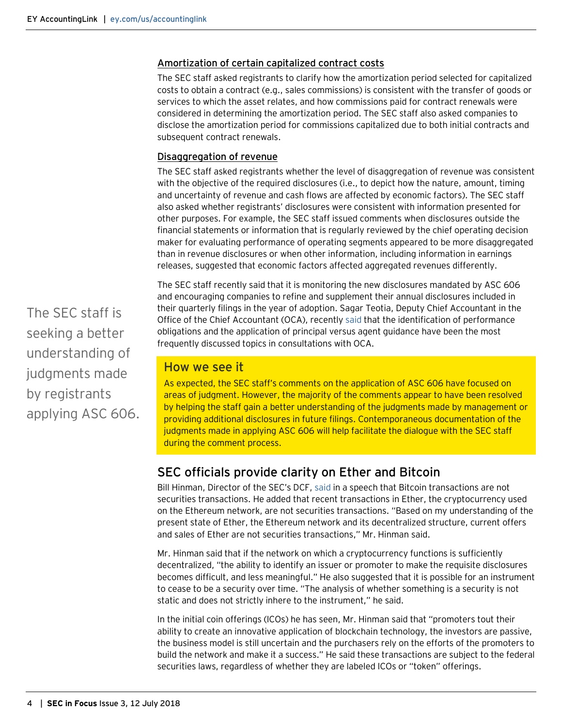#### Amortization of certain capitalized contract costs

The SEC staff asked registrants to clarify how the amortization period selected for capitalized costs to obtain a contract (e.g., sales commissions) is consistent with the transfer of goods or services to which the asset relates, and how commissions paid for contract renewals were considered in determining the amortization period. The SEC staff also asked companies to disclose the amortization period for commissions capitalized due to both initial contracts and subsequent contract renewals.

#### Disaggregation of revenue

The SEC staff asked registrants whether the level of disaggregation of revenue was consistent with the objective of the required disclosures (i.e., to depict how the nature, amount, timing and uncertainty of revenue and cash flows are affected by economic factors). The SEC staff also asked whether registrants' disclosures were consistent with information presented for other purposes. For example, the SEC staff issued comments when disclosures outside the financial statements or information that is regularly reviewed by the chief operating decision maker for evaluating performance of operating segments appeared to be more disaggregated than in revenue disclosures or when other information, including information in earnings releases, suggested that economic factors affected aggregated revenues differently.

The SEC staff recently said that it is monitoring the new disclosures mandated by ASC 606 and encouraging companies to refine and supplement their annual disclosures included in their quarterly filings in the year of adoption. Sagar Teotia, Deputy Chief Accountant in the Office of the Chief Accountant (OCA), recentl[y said](https://www.sec.gov/news/speech/teotia-progress-being-made) that the identification of performance obligations and the application of principal versus agent guidance have been the most frequently discussed topics in consultations with OCA.

## How we see it

As expected, the SEC staff's comments on the application of ASC 606 have focused on areas of judgment. However, the majority of the comments appear to have been resolved by helping the staff gain a better understanding of the judgments made by management or providing additional disclosures in future filings. Contemporaneous documentation of the judgments made in applying ASC 606 will help facilitate the dialogue with the SEC staff during the comment process.

## <span id="page-3-0"></span>SEC officials provide clarity on Ether and Bitcoin

Bill Hinman, Director of the SEC's DCF, [said](https://www.sec.gov/news/speech/speech-hinman-061418) in a speech that Bitcoin transactions are not securities transactions. He added that recent transactions in Ether, the cryptocurrency used on the Ethereum network, are not securities transactions. "Based on my understanding of the present state of Ether, the Ethereum network and its decentralized structure, current offers and sales of Ether are not securities transactions," Mr. Hinman said.

Mr. Hinman said that if the network on which a cryptocurrency functions is sufficiently decentralized, "the ability to identify an issuer or promoter to make the requisite disclosures becomes difficult, and less meaningful." He also suggested that it is possible for an instrument to cease to be a security over time. "The analysis of whether something is a security is not static and does not strictly inhere to the instrument," he said.

In the initial coin offerings (ICOs) he has seen, Mr. Hinman said that "promoters tout their ability to create an innovative application of blockchain technology, the investors are passive, the business model is still uncertain and the purchasers rely on the efforts of the promoters to build the network and make it a success." He said these transactions are subject to the federal securities laws, regardless of whether they are labeled ICOs or "token" offerings.

The SEC staff is seeking a better understanding of judgments made by registrants applying ASC 606.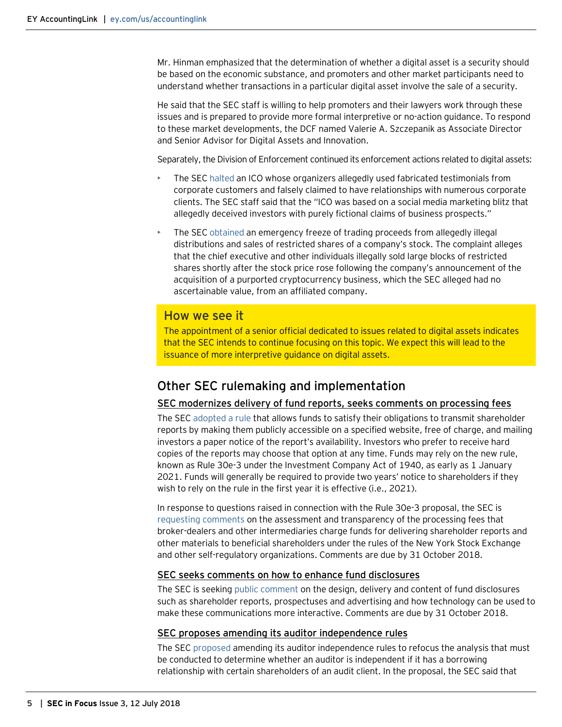Mr. Hinman emphasized that the determination of whether a digital asset is a security should be based on the economic substance, and promoters and other market participants need to understand whether transactions in a particular digital asset involve the sale of a security.

He said that the SEC staff is willing to help promoters and their lawyers work through these issues and is prepared to provide more formal interpretive or no-action guidance. To respond to these market developments, the DCF named Valerie A. Szczepanik as Associate Director and Senior Advisor for Digital Assets and Innovation.

Separately, the Division of Enforcement continued its enforcement actions related to digital assets:

- The SE[C halted](https://www.sec.gov/litigation/complaints/2018/comp-pr2018-94.pdf) an ICO whose organizers allegedly used fabricated testimonials from corporate customers and falsely claimed to have relationships with numerous corporate clients. The SEC staff said that the "ICO was based on a social media marketing blitz that allegedly deceived investors with purely fictional claims of business prospects."
- The SE[C obtained](https://www.sec.gov/litigation/complaints/2018/comp-pr2018-61.pdf) an emergency freeze of trading proceeds from allegedly illegal distributions and sales of restricted shares of a company's stock. The complaint alleges that the chief executive and other individuals illegally sold large blocks of restricted shares shortly after the stock price rose following the company's announcement of the acquisition of a purported cryptocurrency business, which the SEC alleged had no ascertainable value, from an affiliated company.

### How we see it

The appointment of a senior official dedicated to issues related to digital assets indicates that the SEC intends to continue focusing on this topic. We expect this will lead to the issuance of more interpretive guidance on digital assets.

## <span id="page-4-0"></span>Other SEC rulemaking and implementation

#### <span id="page-4-1"></span>SEC modernizes delivery of fund reports, seeks comments on processing fees

The SE[C adopted a rule](https://www.sec.gov/rules/final/2018/33-10506.pdf) that allows funds to satisfy their obligations to transmit shareholder reports by making them publicly accessible on a specified website, free of charge, and mailing investors a paper notice of the report's availability. Investors who prefer to receive hard copies of the reports may choose that option at any time. Funds may rely on the new rule, known as Rule 30e-3 under the Investment Company Act of 1940, as early as 1 January 2021. Funds will generally be required to provide two years' notice to shareholders if they wish to rely on the rule in the first year it is effective (i.e., 2021).

In response to questions raised in connection with the Rule 30e-3 proposal, the SEC is [requesting comments](https://www.sec.gov/rules/other/2018/33-10505.pdf) on the assessment and transparency of the processing fees that broker-dealers and other intermediaries charge funds for delivering shareholder reports and other materials to beneficial shareholders under the rules of the New York Stock Exchange and other self-regulatory organizations. Comments are due by 31 October 2018.

#### <span id="page-4-2"></span>SEC seeks comments on how to enhance fund disclosures

The SEC is seekin[g public comment](https://www.sec.gov/rules/other/2018/33-10503.pdf) on the design, delivery and content of fund disclosures such as shareholder reports, prospectuses and advertising and how technology can be used to make these communications more interactive. Comments are due by 31 October 2018.

#### <span id="page-4-3"></span>SEC proposes amending its auditor independence rules

The SE[C proposed](https://www.sec.gov/rules/proposed/2018/33-10491.pdf) amending its auditor independence rules to refocus the analysis that must be conducted to determine whether an auditor is independent if it has a borrowing relationship with certain shareholders of an audit client. In the proposal, the SEC said that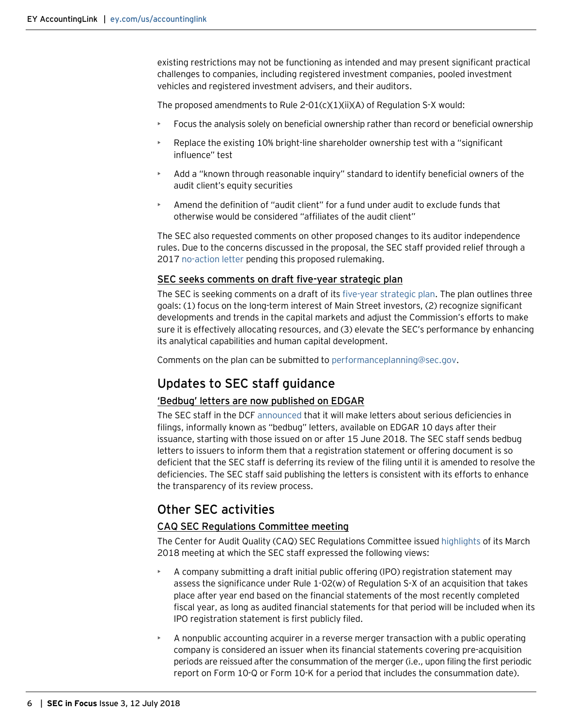existing restrictions may not be functioning as intended and may present significant practical challenges to companies, including registered investment companies, pooled investment vehicles and registered investment advisers, and their auditors.

The proposed amendments to Rule 2-01(c)(1)(ii)(A) of Regulation S-X would:

- Focus the analysis solely on beneficial ownership rather than record or beneficial ownership
- Replace the existing 10% bright-line shareholder ownership test with a "significant influence" test
- Add a "known through reasonable inquiry" standard to identify beneficial owners of the audit client's equity securities
- Amend the definition of "audit client" for a fund under audit to exclude funds that otherwise would be considered "affiliates of the audit client"

The SEC also requested comments on other proposed changes to its auditor independence rules. Due to the concerns discussed in the proposal, the SEC staff provided relief through a 2017 [no-action letter](https://www.sec.gov/divisions/investment/noaction/2017/fidelity-management-research-092217-regsx-rule-2-01.htm) pending this proposed rulemaking.

#### <span id="page-5-0"></span>SEC seeks comments on draft five-year strategic plan

The SEC is seeking comments on a draft of its [five-year strategic](https://www.sec.gov/files/sec-strategic-plan-2018-2022.pdf) plan. The plan outlines three goals: (1) focus on the long-term interest of Main Street investors, (2) recognize significant developments and trends in the capital markets and adjust the Commission's efforts to make sure it is effectively allocating resources, and (3) elevate the SEC's performance by enhancing its analytical capabilities and human capital development.

Comments on the plan can be submitted t[o performanceplanning@sec.gov.](mailto:performanceplanning@sec.gov)

## <span id="page-5-1"></span>Updates to SEC staff guidance

#### <span id="page-5-2"></span>'Bedbug' letters are now published on EDGAR

The SEC staff in the DCF [announced](https://www.sec.gov/corpfin/announcement/division-release-through-edgar-serious-deficiencies-letters) that it will make letters about serious deficiencies in filings, informally known as "bedbug" letters, available on EDGAR 10 days after their issuance, starting with those issued on or after 15 June 2018. The SEC staff sends bedbug letters to issuers to inform them that a registration statement or offering document is so deficient that the SEC staff is deferring its review of the filing until it is amended to resolve the deficiencies. The SEC staff said publishing the letters is consistent with its efforts to enhance the transparency of its review process.

## <span id="page-5-3"></span>Other SEC activities

#### <span id="page-5-4"></span>CAQ SEC Regulations Committee meeting

The Center for Audit Quality (CAQ) SEC Regulations Committee issued [highlights](https://www.thecaq.org/sec-regulations-committee-highlights-march-13-2018) of its March 2018 meeting at which the SEC staff expressed the following views:

- A company submitting a draft initial public offering (IPO) registration statement may assess the significance under Rule 1-02(w) of Regulation S-X of an acquisition that takes place after year end based on the financial statements of the most recently completed fiscal year, as long as audited financial statements for that period will be included when its IPO registration statement is first publicly filed.
- A nonpublic accounting acquirer in a reverse merger transaction with a public operating company is considered an issuer when its financial statements covering pre-acquisition periods are reissued after the consummation of the merger (i.e., upon filing the first periodic report on Form 10-Q or Form 10-K for a period that includes the consummation date).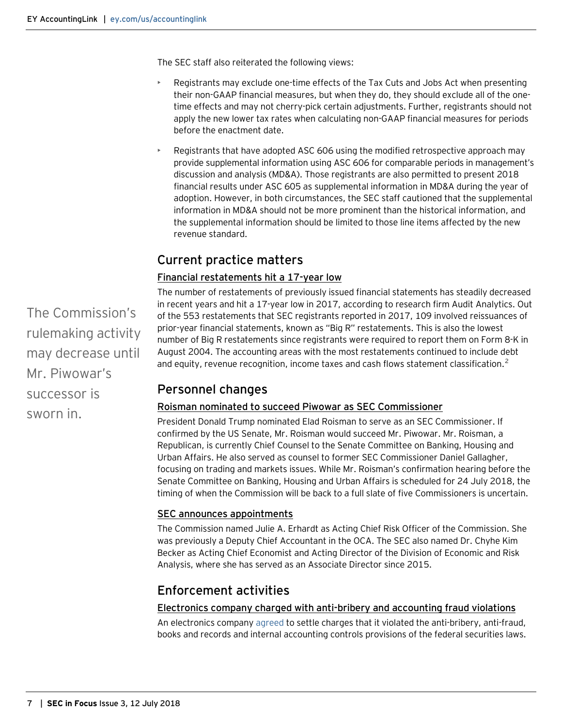The SEC staff also reiterated the following views:

- Registrants may exclude one-time effects of the Tax Cuts and Jobs Act when presenting their non-GAAP financial measures, but when they do, they should exclude all of the onetime effects and may not cherry-pick certain adjustments. Further, registrants should not apply the new lower tax rates when calculating non-GAAP financial measures for periods before the enactment date.
- Registrants that have adopted ASC 606 using the modified retrospective approach may provide supplemental information using ASC 606 for comparable periods in management's discussion and analysis (MD&A). Those registrants are also permitted to present 2018 financial results under ASC 605 as supplemental information in MD&A during the year of adoption. However, in both circumstances, the SEC staff cautioned that the supplemental information in MD&A should not be more prominent than the historical information, and the supplemental information should be limited to those line items affected by the new revenue standard.

# <span id="page-6-0"></span>Current practice matters

## <span id="page-6-1"></span>Financial restatements hit a 17-year low

The number of restatements of previously issued financial statements has steadily decreased in recent years and hit a 17-year low in 2017, according to research firm Audit Analytics. Out of the 553 restatements that SEC registrants reported in 2017, 109 involved reissuances of prior-year financial statements, known as "Big R" restatements. This is also the lowest number of Big R restatements since registrants were required to report them on Form 8-K in August 2004. The accounting areas with the most restatements continued to include debt and equity, revenue recognition, income taxes and cash flows statement classification.<sup>[2](#page-7-0)</sup>

# <span id="page-6-2"></span>Personnel changes

#### <span id="page-6-3"></span>Roisman nominated to succeed Piwowar as SEC Commissioner

President Donald Trump nominated Elad Roisman to serve as an SEC Commissioner. If confirmed by the US Senate, Mr. Roisman would succeed Mr. Piwowar. Mr. Roisman, a Republican, is currently Chief Counsel to the Senate Committee on Banking, Housing and Urban Affairs. He also served as counsel to former SEC Commissioner Daniel Gallagher, focusing on trading and markets issues. While Mr. Roisman's confirmation hearing before the Senate Committee on Banking, Housing and Urban Affairs is scheduled for 24 July 2018, the timing of when the Commission will be back to a full slate of five Commissioners is uncertain.

## <span id="page-6-4"></span>SEC announces appointments

The Commission named Julie A. Erhardt as Acting Chief Risk Officer of the Commission. She was previously a Deputy Chief Accountant in the OCA. The SEC also named Dr. Chyhe Kim Becker as Acting Chief Economist and Acting Director of the Division of Economic and Risk Analysis, where she has served as an Associate Director since 2015.

# <span id="page-6-5"></span>Enforcement activities

#### Electronics company charged with anti-bribery and accounting fraud violations

An electronics company [agreed](https://www.sec.gov/news/press-release/2018-73) to settle charges that it violated the anti-bribery, anti-fraud, books and records and internal accounting controls provisions of the federal securities laws.

The Commission's rulemaking activity may decrease until Mr. Piwowar's successor is sworn in.